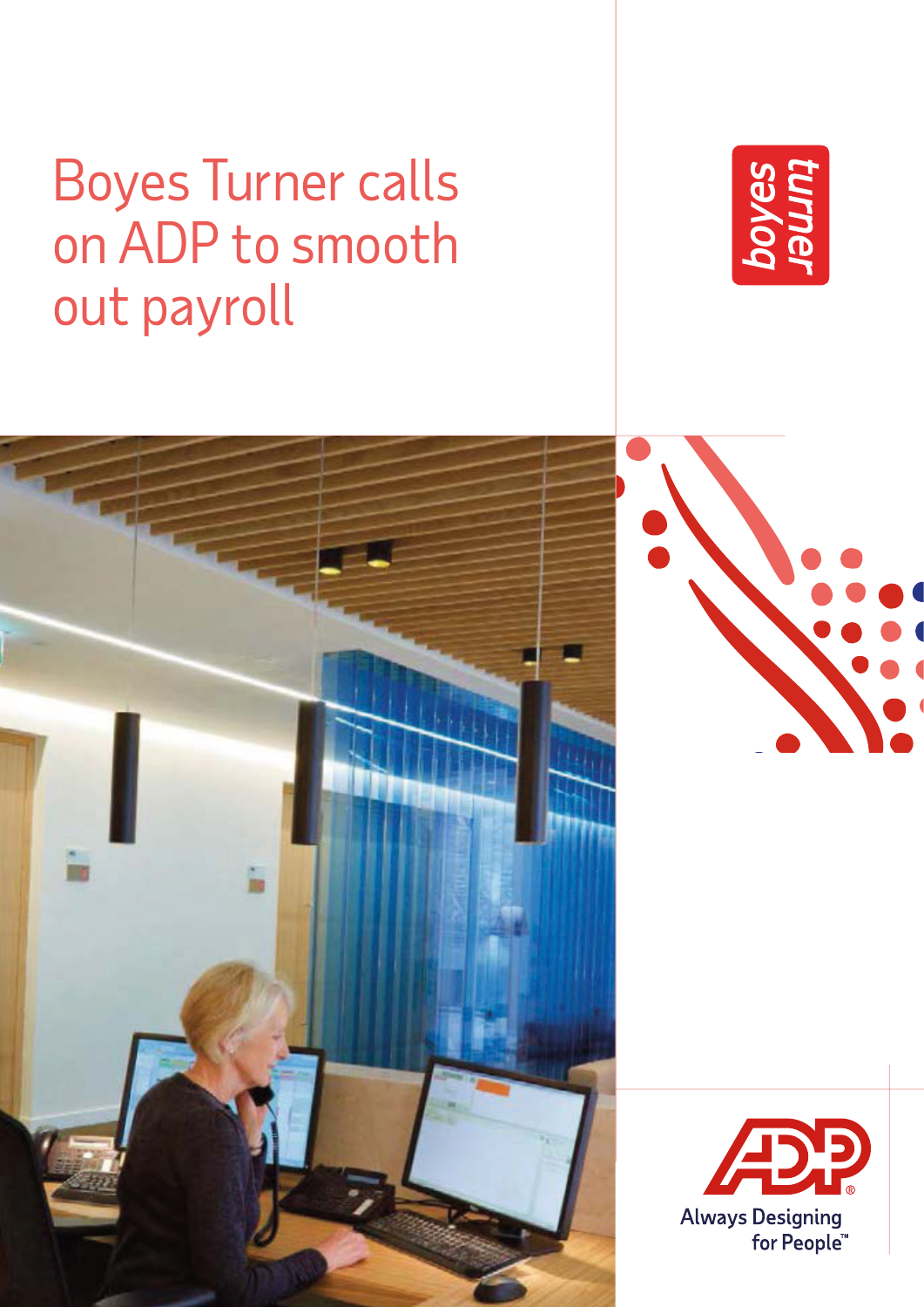# Boyes Turner calls on ADP to smooth out payroll



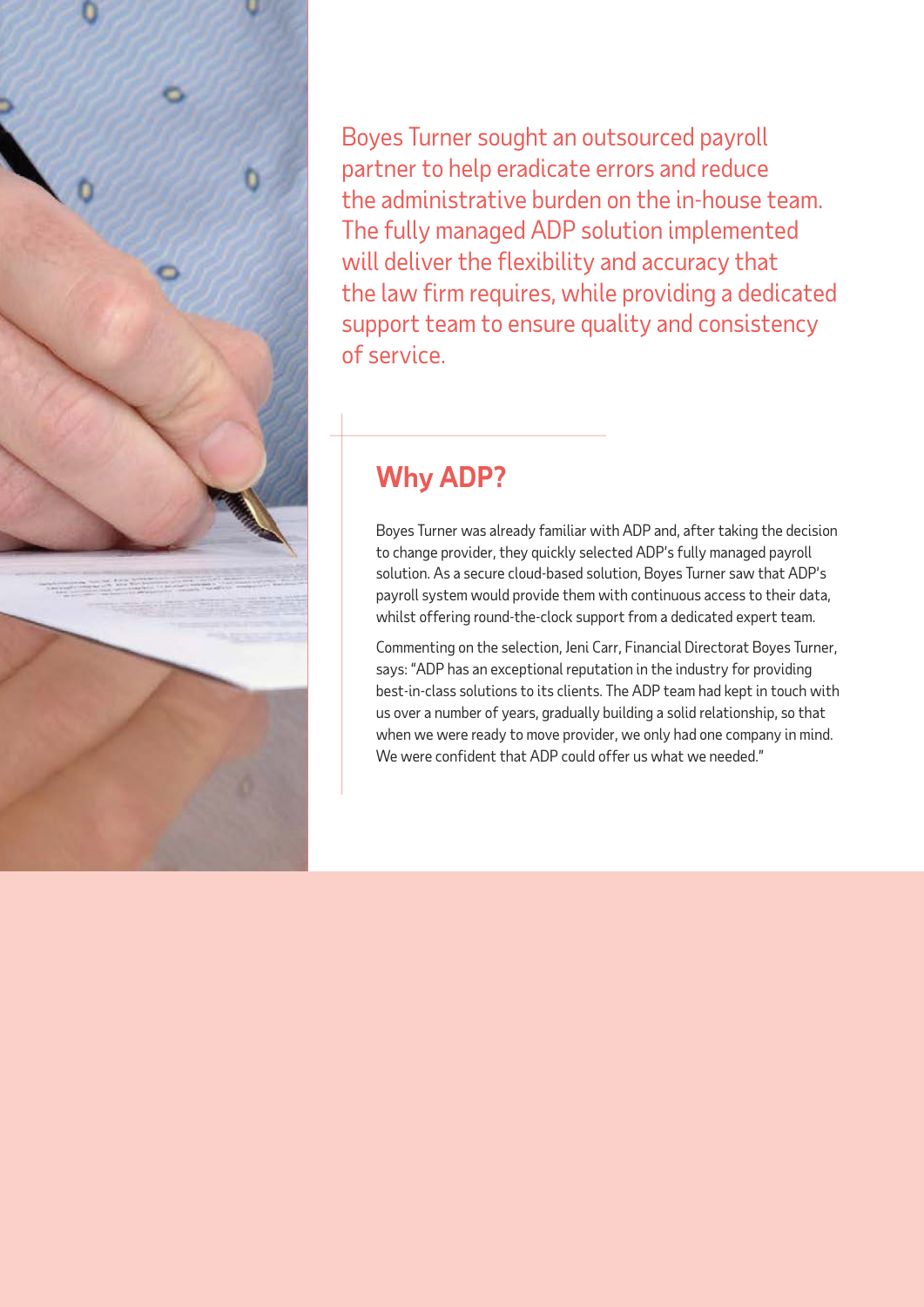

Boyes Turner sought an outsourced payroll partner to help eradicate errors and reduce the administrative burden on the in-house team. The fully managed ADP solution implemented will deliver the flexibility and accuracy that the law firm requires, while providing a dedicated support team to ensure quality and consistency of service.

## **Why ADP?**

Boyes Turner was already familiar with ADP and, after taking the decision to change provider, they quickly selected ADP's fully managed payroll solution. As a secure cloud-based solution, Boyes Turner saw that ADP's payroll system would provide them with continuous access to their data, whilst offering round-the-clock support from a dedicated expert team.

Commenting on the selection, Jeni Carr, Financial Directorat Boyes Turner, says: "ADP has an exceptional reputation in the industry for providing best-in-class solutions to its clients. The ADP team had kept in touch with us over a number of years, gradually building a solid relationship, so that when we were ready to move provider, we only had one company in mind. We were confident that ADP could offer us what we needed."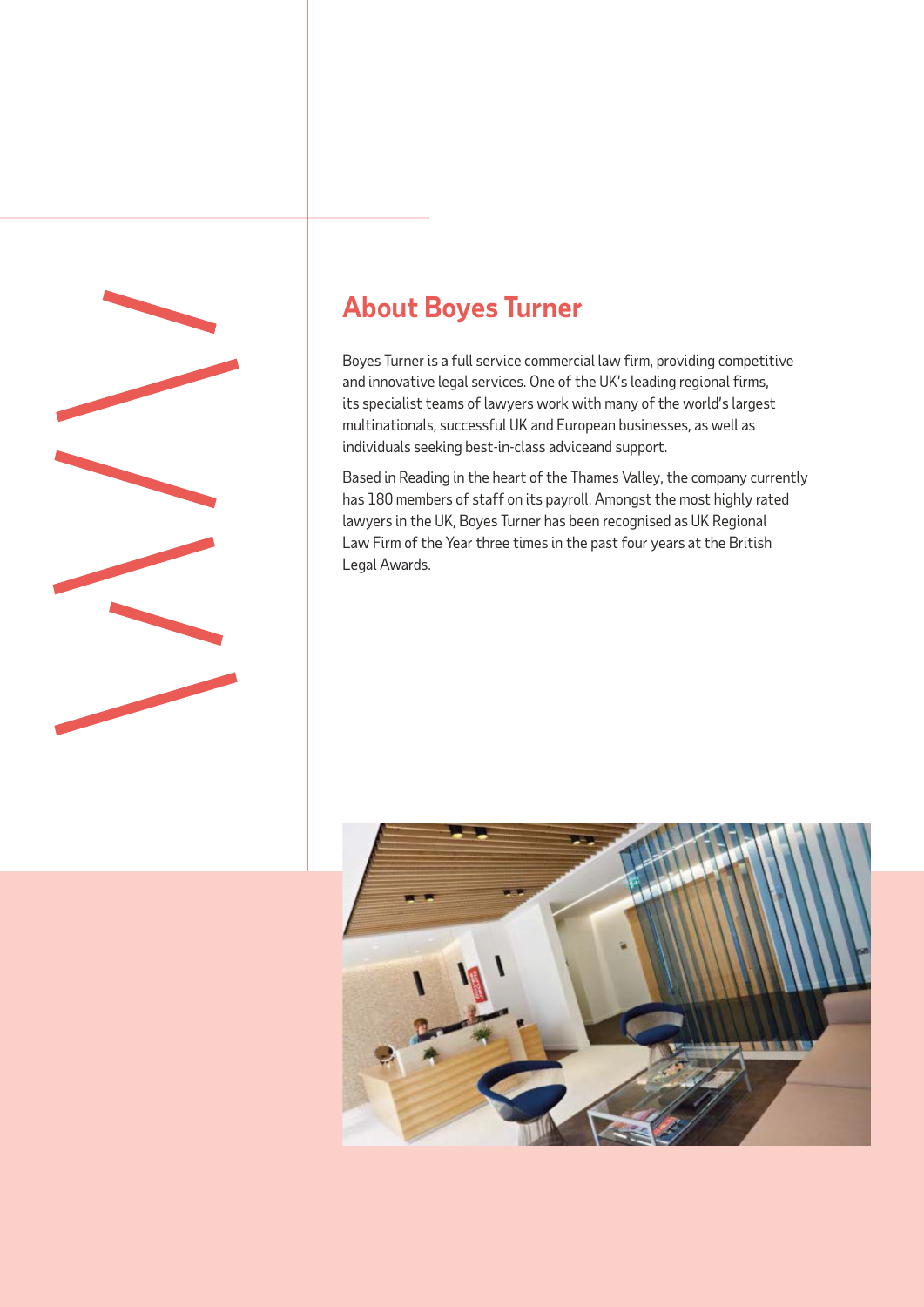

## **About Boyes Turner**

Boyes Turner is a full service commercial law firm, providing competitive and innovative legal services. One of the UK's leading regional firms, its specialist teams of lawyers work with many of the world's largest multinationals, successful UK and European businesses, as well as individuals seeking best-in-class adviceand support.

Based in Reading in the heart of the Thames Valley, the company currently has 180 members of staff on its payroll. Amongst the most highly rated lawyers in the UK, Boyes Turner has been recognised as UK Regional Law Firm of the Year three times in the past four years at the British Legal Awards.

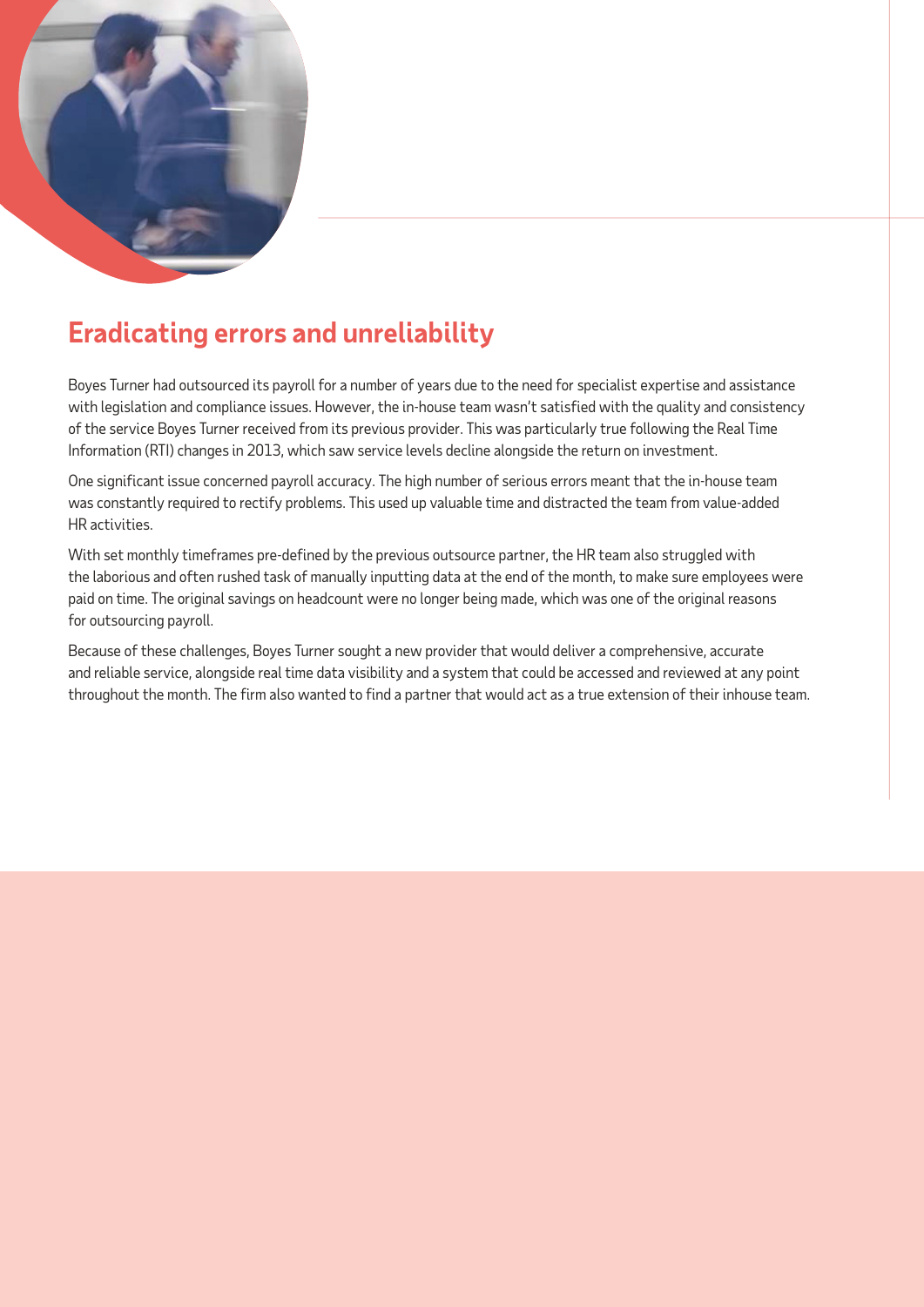

## **Eradicating errors and unreliability**

Boyes Turner had outsourced its payroll for a number of years due to the need for specialist expertise and assistance with legislation and compliance issues. However, the in-house team wasn't satisfied with the quality and consistency of the service Boyes Turner received from its previous provider. This was particularly true following the Real Time Information (RTI) changes in 2013, which saw service levels decline alongside the return on investment.

One significant issue concerned payroll accuracy. The high number of serious errors meant that the in-house team was constantly required to rectify problems. This used up valuable time and distracted the team from value-added HR activities.

With set monthly timeframes pre-defined by the previous outsource partner, the HR team also struggled with the laborious and often rushed task of manually inputting data at the end of the month, to make sure employees were paid on time. The original savings on headcount were no longer being made, which was one of the original reasons for outsourcing payroll.

Because of these challenges, Boyes Turner sought a new provider that would deliver a comprehensive, accurate and reliable service, alongside real time data visibility and a system that could be accessed and reviewed at any point throughout the month. The firm also wanted to find a partner that would act as a true extension of their inhouse team.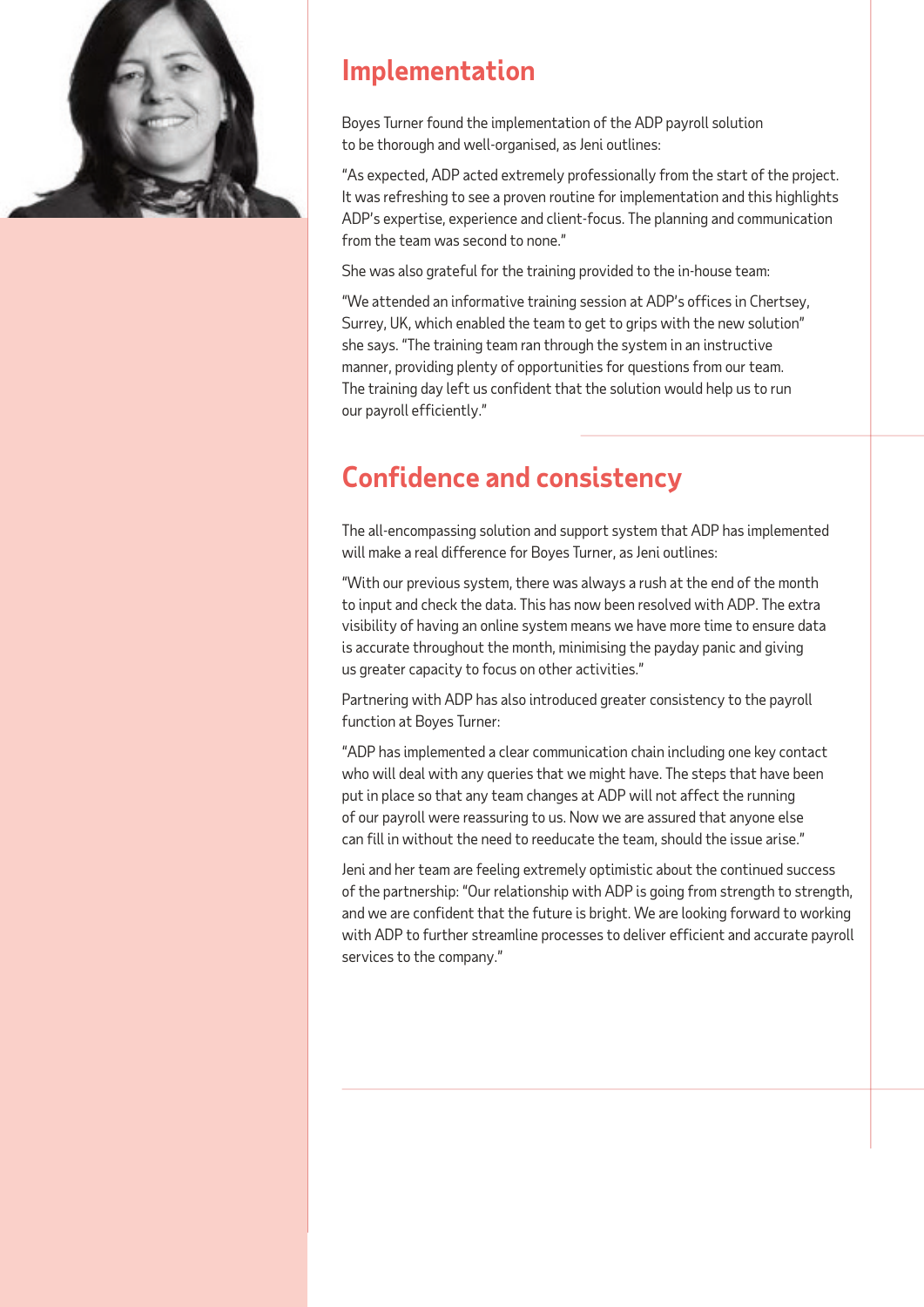

#### **Implementation**

Boyes Turner found the implementation of the ADP payroll solution to be thorough and well-organised, as Jeni outlines:

"As expected, ADP acted extremely professionally from the start of the project. It was refreshing to see a proven routine for implementation and this highlights ADP's expertise, experience and client-focus. The planning and communication from the team was second to none."

She was also grateful for the training provided to the in-house team:

"We attended an informative training session at ADP's offices in Chertsey, Surrey, UK, which enabled the team to get to grips with the new solution" she says. "The training team ran through the system in an instructive manner, providing plenty of opportunities for questions from our team. The training day left us confident that the solution would help us to run our payroll efficiently."

#### **Confidence and consistency**

The all-encompassing solution and support system that ADP has implemented will make a real difference for Boyes Turner, as Jeni outlines:

"With our previous system, there was always a rush at the end of the month to input and check the data. This has now been resolved with ADP. The extra visibility of having an online system means we have more time to ensure data is accurate throughout the month, minimising the payday panic and giving us greater capacity to focus on other activities."

Partnering with ADP has also introduced greater consistency to the payroll function at Boyes Turner:

"ADP has implemented a clear communication chain including one key contact who will deal with any queries that we might have. The steps that have been put in place so that any team changes at ADP will not affect the running of our payroll were reassuring to us. Now we are assured that anyone else can fill in without the need to reeducate the team, should the issue arise."

Jeni and her team are feeling extremely optimistic about the continued success of the partnership: "Our relationship with ADP is going from strength to strength, and we are confident that the future is bright. We are looking forward to working with ADP to further streamline processes to deliver efficient and accurate payroll services to the company."